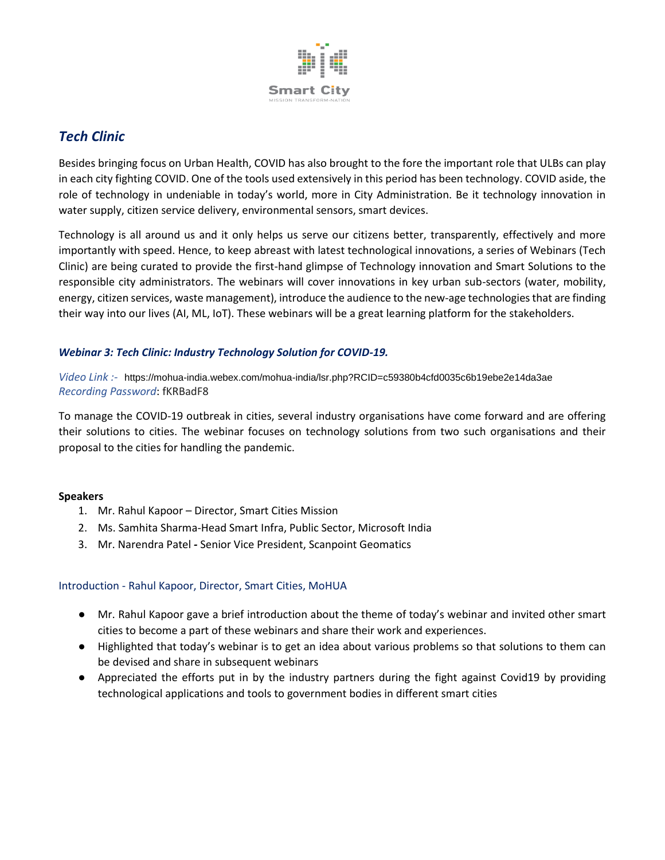

# *Tech Clinic*

Besides bringing focus on Urban Health, COVID has also brought to the fore the important role that ULBs can play in each city fighting COVID. One of the tools used extensively in this period has been technology. COVID aside, the role of technology in undeniable in today's world, more in City Administration. Be it technology innovation in water supply, citizen service delivery, environmental sensors, smart devices.

Technology is all around us and it only helps us serve our citizens better, transparently, effectively and more importantly with speed. Hence, to keep abreast with latest technological innovations, a series of Webinars (Tech Clinic) are being curated to provide the first-hand glimpse of Technology innovation and Smart Solutions to the responsible city administrators. The webinars will cover innovations in key urban sub-sectors (water, mobility, energy, citizen services, waste management), introduce the audience to the new-age technologies that are finding their way into our lives (AI, ML, IoT). These webinars will be a great learning platform for the stakeholders.

## *Webinar 3: Tech Clinic: Industry Technology Solution for COVID-19.*

*Video Link :-* <https://mohua-india.webex.com/mohua-india/lsr.php?RCID=c59380b4cfd0035c6b19ebe2e14da3ae> *Recording Password*: fKRBadF8

To manage the COVID-19 outbreak in cities, several industry organisations have come forward and are offering their solutions to cities. The webinar focuses on technology solutions from two such organisations and their proposal to the cities for handling the pandemic.

#### **Speakers**

- 1. Mr. Rahul Kapoor Director, Smart Cities Mission
- 2. Ms. Samhita Sharma-Head Smart Infra, Public Sector, Microsoft India
- 3. Mr. Narendra Patel *-* Senior Vice President, Scanpoint Geomatics

#### Introduction - Rahul Kapoor, Director, Smart Cities, MoHUA

- Mr. Rahul Kapoor gave a brief introduction about the theme of today's webinar and invited other smart cities to become a part of these webinars and share their work and experiences.
- Highlighted that today's webinar is to get an idea about various problems so that solutions to them can be devised and share in subsequent webinars
- Appreciated the efforts put in by the industry partners during the fight against Covid19 by providing technological applications and tools to government bodies in different smart cities